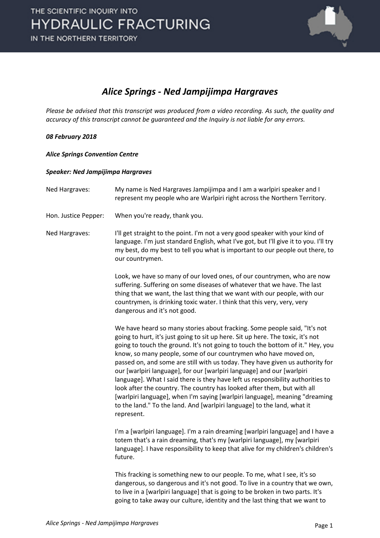

## *Alice Springs - Ned Jampijimpa Hargraves*

*Please be advised that this transcript was produced from a video recording. As such, the quality and accuracy of this transcript cannot be guaranteed and the Inquiry is not liable for any errors.*

## *08 February 2018*

*Alice Springs Convention Centre*

## *Speaker: Ned Jampijimpa Hargraves*

| Ned Hargraves:       | My name is Ned Hargraves Jampijimpa and I am a warlpiri speaker and I<br>represent my people who are Warlpiri right across the Northern Territory.                                                                                                                                                                                                                                                                                                                                                                                                                                                                                                                                                                                                                                                                 |
|----------------------|--------------------------------------------------------------------------------------------------------------------------------------------------------------------------------------------------------------------------------------------------------------------------------------------------------------------------------------------------------------------------------------------------------------------------------------------------------------------------------------------------------------------------------------------------------------------------------------------------------------------------------------------------------------------------------------------------------------------------------------------------------------------------------------------------------------------|
| Hon. Justice Pepper: | When you're ready, thank you.                                                                                                                                                                                                                                                                                                                                                                                                                                                                                                                                                                                                                                                                                                                                                                                      |
| Ned Hargraves:       | I'll get straight to the point. I'm not a very good speaker with your kind of<br>language. I'm just standard English, what I've got, but I'll give it to you. I'll try<br>my best, do my best to tell you what is important to our people out there, to<br>our countrymen.                                                                                                                                                                                                                                                                                                                                                                                                                                                                                                                                         |
|                      | Look, we have so many of our loved ones, of our countrymen, who are now<br>suffering. Suffering on some diseases of whatever that we have. The last<br>thing that we want, the last thing that we want with our people, with our<br>countrymen, is drinking toxic water. I think that this very, very, very<br>dangerous and it's not good.                                                                                                                                                                                                                                                                                                                                                                                                                                                                        |
|                      | We have heard so many stories about fracking. Some people said, "It's not<br>going to hurt, it's just going to sit up here. Sit up here. The toxic, it's not<br>going to touch the ground. It's not going to touch the bottom of it." Hey, you<br>know, so many people, some of our countrymen who have moved on,<br>passed on, and some are still with us today. They have given us authority for<br>our [warlpiri language], for our [warlpiri language] and our [warlpiri<br>language]. What I said there is they have left us responsibility authorities to<br>look after the country. The country has looked after them, but with all<br>[warlpiri language], when I'm saying [warlpiri language], meaning "dreaming<br>to the land." To the land. And [warlpiri language] to the land, what it<br>represent. |
|                      | I'm a [warlpiri language]. I'm a rain dreaming [warlpiri language] and I have a<br>totem that's a rain dreaming, that's my [warlpiri language], my [warlpiri<br>language]. I have responsibility to keep that alive for my children's children's<br>future.                                                                                                                                                                                                                                                                                                                                                                                                                                                                                                                                                        |
|                      | This fracking is something new to our people. To me, what I see, it's so<br>dangerous, so dangerous and it's not good. To live in a country that we own,<br>to live in a [warlpiri language] that is going to be broken in two parts. It's<br>going to take away our culture, identity and the last thing that we want to                                                                                                                                                                                                                                                                                                                                                                                                                                                                                          |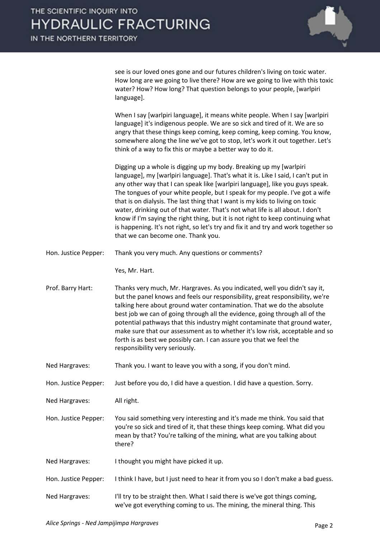

see is our loved ones gone and our futures children's living on toxic water. How long are we going to live there? How are we going to live with this toxic water? How? How long? That question belongs to your people, [warlpiri language].

When I say [warlpiri language], it means white people. When I say [warlpiri language] it's indigenous people. We are so sick and tired of it. We are so angry that these things keep coming, keep coming, keep coming. You know, somewhere along the line we've got to stop, let's work it out together. Let's think of a way to fix this or maybe a better way to do it.

Digging up a whole is digging up my body. Breaking up my [warlpiri language], my [warlpiri language]. That's what it is. Like I said, I can't put in any other way that I can speak like [warlpiri language], like you guys speak. The tongues of your white people, but I speak for my people. I've got a wife that is on dialysis. The last thing that I want is my kids to living on toxic water, drinking out of that water. That's not what life is all about. I don't know if I'm saying the right thing, but it is not right to keep continuing what is happening. It's not right, so let's try and fix it and try and work together so that we can become one. Thank you.

Hon. Justice Pepper: Thank you very much. Any questions or comments?

Yes, Mr. Hart.

- Prof. Barry Hart: Thanks very much, Mr. Hargraves. As you indicated, well you didn't say it, but the panel knows and feels our responsibility, great responsibility, we're talking here about ground water contamination. That we do the absolute best job we can of going through all the evidence, going through all of the potential pathways that this industry might contaminate that ground water, make sure that our assessment as to whether it's low risk, acceptable and so forth is as best we possibly can. I can assure you that we feel the responsibility very seriously.
- Ned Hargraves: Thank you. I want to leave you with a song, if you don't mind.

Hon. Justice Pepper: Just before you do, I did have a question. I did have a question. Sorry.

Ned Hargraves: All right.

Hon. Justice Pepper: You said something very interesting and it's made me think. You said that you're so sick and tired of it, that these things keep coming. What did you mean by that? You're talking of the mining, what are you talking about there?

- Ned Hargraves: I thought you might have picked it up.
- Hon. Justice Pepper: I think I have, but I just need to hear it from you so I don't make a bad guess.
- Ned Hargraves: I'll try to be straight then. What I said there is we've got things coming, we've got everything coming to us. The mining, the mineral thing. This